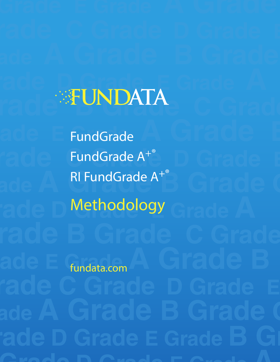# **Grade D Grade E Grade A A Grade B Grade B Grade C Grade** C Grade C Grade C Grade C Grade C Grade C Grade C Grade C Grade C Grade C Grade C

**Grade E Grade A Grade B Grade C Grade A<sup>+®</sup> Grade A<sup>+®</sup> Grade C Grade E Grade A<sup>+®</sup> Grade A<sup>+®</sup> Grade A<sup>+®</sup> Grade C <mark>Grade</mark> C <mark>Grade</mark> C Grade D** Methodology Grade A FundGrade FundGrade A+®

fundata.com

**Grade E Grade A Grade B**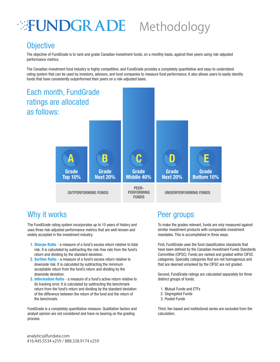### **FUNDGRADE** Methodology

#### **Objective**

The objective of FundGrade is to rank and grade Canadian investment funds, on a monthly basis, against their peers using risk-adjusted performance metrics.

The Canadian investment fund industry is highly competitive, and FundGrade provides a completely quantitative and easy-to-understand rating system that can be used by investors, advisors, and fund companies to measure fund performance. It also allows users to easily identity funds that have consistently outperformed their peers on a risk-adjusted basis.



#### Why it works **Peer groups**

The FundGrade rating system incorporates up to 10 years of history and uses three risk-adjusted performance metrics that are well-known and widely accepted in the investment industry.

- 1. **Sharpe Ratio** a measure of a fund's excess return relative to total risk. It is calculated by subtracting the risk-free rate from the fund's return and dividing by the standard deviation.
- 2. **Sortino Ratio** a measure of a fund's excess return relative to downside risk. It is calculated by subtracting the minimum acceptable return from the fund's return and dividing by the downside deviation.
- 3. Information Ratio a measure of a fund's active return relative to its tracking error. It is calculated by subtracting the benchmark return from the fund's return and dividing by the standard deviation of the difference between the return of the fund and the return of the benchmark.

FundGrade is a completely quantitative measure. Qualitative factors and analyst opinion are not considered and have no bearing on the grading process.

To make the grades relevant, funds are only measured against similar investment products with comparable investment mandates. This is accomplished in three ways.

First, FundGrade uses the fund classification standards that have been defined by the Canadian Investment Funds Standards Committee (CIFSC). Funds are ranked and graded within CIFSC categories. Specialty categories that are not homogenous and that are deemed unranked by the CIFSC are not graded.

Second, FundGrade ratings are calculated separately for three distinct groups of funds:

- 1. Mutual Funds and ETFs
- 2. Segregated Funds
- 3. Pooled Funds

Third, fee-based and institutional series are excluded from the calculation.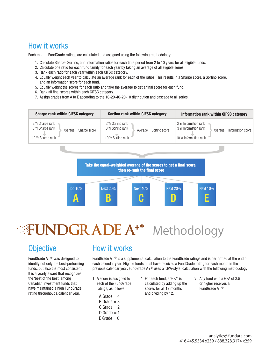#### How it works

Each month, FundGrade ratings are calculated and assigned using the following methodology:

- 1. Calculate Sharpe, Sortino, and Information ratios for each time period from 2 to 10 years for all eligible funds.
- 2. Calculate one ratio for each fund family for each year by taking an average of all eligible series.
- 3. Rank each ratio for each year within each CIFSC category.
- Equally weight each year to calculate an average rank for each of the ratios. This results in a Sharpe score, a Sortino score, 4. and an Information score for each fund.
- 5. Equally weight the scores for each ratio and take the average to get a final score for each fund.
- 6. Rank all final scores within each CIFSC category.
- 7. Assign grades from A to E according to the 10-20-40-20-10 distribution and cascade to all series.



### Methodology ®

#### **Objective**

FundGrade  $A + \mathcal{P}$  was designed to identify not only the best-performing funds, but also the most consistent. It is a yearly award that recognizes the 'best of the best' among Canadian investment funds that have maintained a high FundGrade rating throughout a calendar year.

#### How it works

FundGrade A+® is a supplemental calculation to the FundGrade ratings and is performed at the end of each calendar year. Eligible funds must have received a FundGrade rating for each month in the previous calendar year. FundGrade A+® uses a 'GPA-style' calculation with the following methodology:

1. A score is assigned to  $2.$  For each fund, a 'GPA' is  $3.$ each of the FundGrade ratings, as follows:

A Grade  $= 4$  $B$  Grade = 3  $C$  Grade = 2 D Grade  $= 1$  $E$  Grade = 0

- calculated by adding up the scores for all 12 months and dividing by 12.
- 3. Any fund with a GPA of 3.5 or higher receives a FundGrade A+®.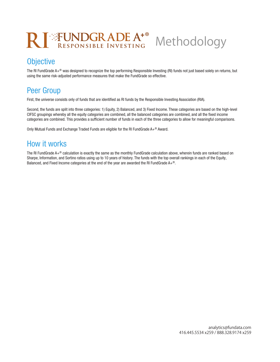## RI **FUNDGRADE** A<sup>+®</sup>

#### **Objective**

The RI FundGrade  $A + \mathcal{P}$  was designed to recognize the top performing Responsible Investing (RI) funds not just based solely on returns, but using the same risk-adjusted performance measures that make the FundGrade so effective.

Methodology

#### Peer Group

First, the universe consists only of funds that are identified as RI funds by the Responsible Investing Association (RIA).

Second, the funds are split into three categories: 1) Equity, 2) Balanced, and 3) Fixed Income. These categories are based on the high-level CIFSC groupings whereby all the equity categories are combined, all the balanced categories are combined, and all the fixed income categories are combined. This provides a sufficient number of funds in each of the three categories to allow for meaningful comparisons.

Only Mutual Funds and Exchange Traded Funds are eligible for the RI FundGrade A+® Award.

#### How it works

The RI FundGrade A+® calculation is exactly the same as the monthly FundGrade calculation above, wherein funds are ranked based on Sharpe, Information, and Sortino ratios using up to 10 years of history. The funds with the top overall rankings in each of the Equity, Balanced, and Fixed Income categories at the end of the year are awarded the RI FundGrade A+®.